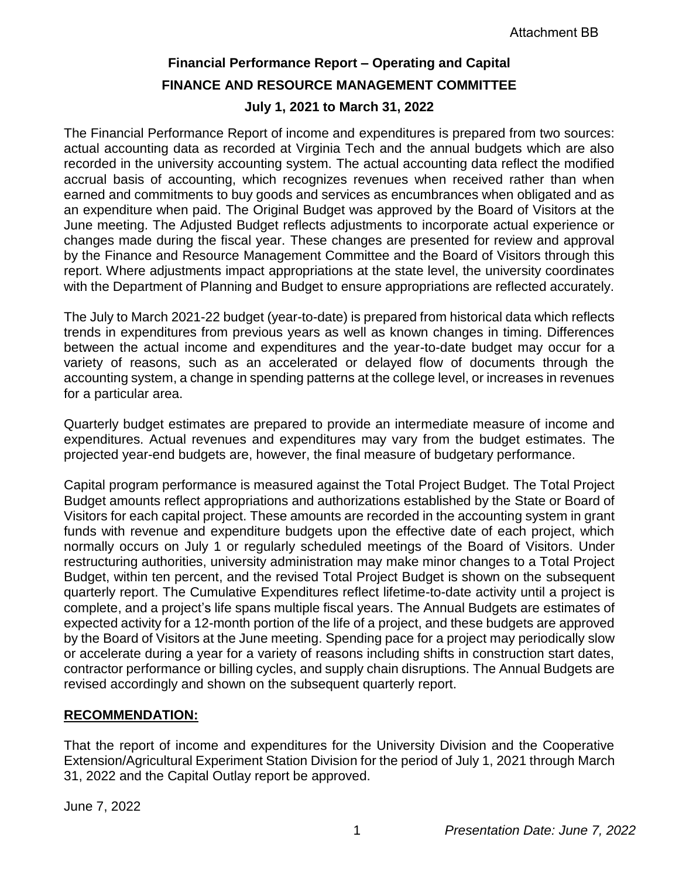# **Financial Performance Report – Operating and Capital FINANCE AND RESOURCE MANAGEMENT COMMITTEE July 1, 2021 to March 31, 2022**

The Financial Performance Report of income and expenditures is prepared from two sources: actual accounting data as recorded at Virginia Tech and the annual budgets which are also recorded in the university accounting system. The actual accounting data reflect the modified accrual basis of accounting, which recognizes revenues when received rather than when earned and commitments to buy goods and services as encumbrances when obligated and as an expenditure when paid. The Original Budget was approved by the Board of Visitors at the June meeting. The Adjusted Budget reflects adjustments to incorporate actual experience or changes made during the fiscal year. These changes are presented for review and approval by the Finance and Resource Management Committee and the Board of Visitors through this report. Where adjustments impact appropriations at the state level, the university coordinates with the Department of Planning and Budget to ensure appropriations are reflected accurately.

The July to March 2021-22 budget (year-to-date) is prepared from historical data which reflects trends in expenditures from previous years as well as known changes in timing. Differences between the actual income and expenditures and the year-to-date budget may occur for a variety of reasons, such as an accelerated or delayed flow of documents through the accounting system, a change in spending patterns at the college level, or increases in revenues for a particular area.

Quarterly budget estimates are prepared to provide an intermediate measure of income and expenditures. Actual revenues and expenditures may vary from the budget estimates. The projected year-end budgets are, however, the final measure of budgetary performance.

Capital program performance is measured against the Total Project Budget. The Total Project Budget amounts reflect appropriations and authorizations established by the State or Board of Visitors for each capital project. These amounts are recorded in the accounting system in grant funds with revenue and expenditure budgets upon the effective date of each project, which normally occurs on July 1 or regularly scheduled meetings of the Board of Visitors. Under restructuring authorities, university administration may make minor changes to a Total Project Budget, within ten percent, and the revised Total Project Budget is shown on the subsequent quarterly report. The Cumulative Expenditures reflect lifetime-to-date activity until a project is complete, and a project's life spans multiple fiscal years. The Annual Budgets are estimates of expected activity for a 12-month portion of the life of a project, and these budgets are approved by the Board of Visitors at the June meeting. Spending pace for a project may periodically slow or accelerate during a year for a variety of reasons including shifts in construction start dates, contractor performance or billing cycles, and supply chain disruptions. The Annual Budgets are revised accordingly and shown on the subsequent quarterly report.

### **RECOMMENDATION:**

That the report of income and expenditures for the University Division and the Cooperative Extension/Agricultural Experiment Station Division for the period of July 1, 2021 through March 31, 2022 and the Capital Outlay report be approved.

June 7, 2022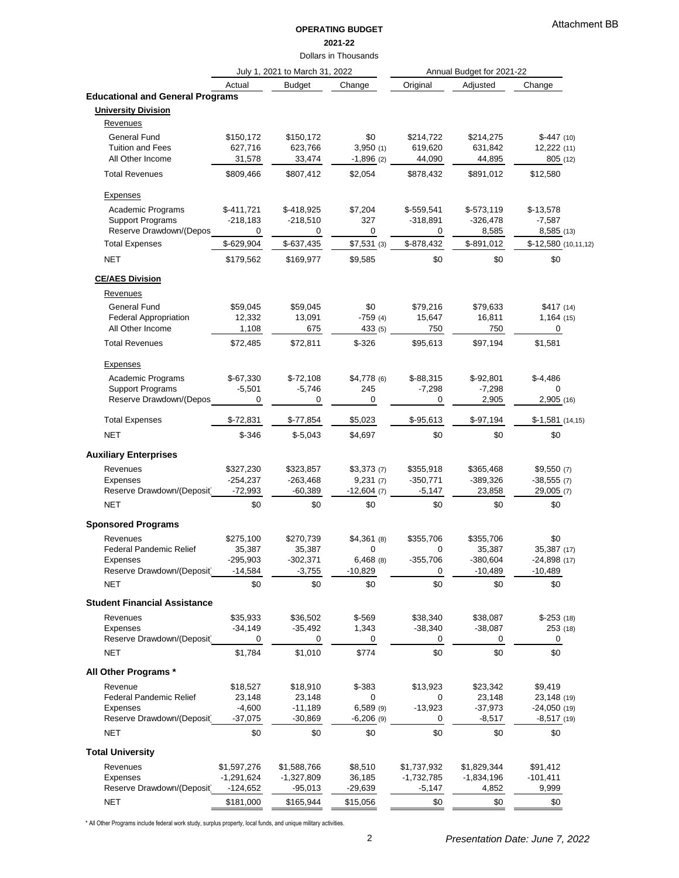### **OPERATING BUDGET 2021-22**

Dollars in Thousands

|                                             |                    | July 1, 2021 to March 31, 2022 |                         |                | Annual Budget for 2021-22 |                              |
|---------------------------------------------|--------------------|--------------------------------|-------------------------|----------------|---------------------------|------------------------------|
|                                             | Actual             | <b>Budget</b>                  | Change                  | Original       | Adjusted                  | Change                       |
| <b>Educational and General Programs</b>     |                    |                                |                         |                |                           |                              |
| <b>University Division</b>                  |                    |                                |                         |                |                           |                              |
| <b>Revenues</b>                             |                    |                                |                         |                |                           |                              |
| <b>General Fund</b>                         | \$150,172          | \$150,172                      | \$0                     | \$214,722      | \$214,275                 | $$-447(10)$                  |
| <b>Tuition and Fees</b><br>All Other Income | 627,716            | 623,766                        | 3,950(1)<br>$-1,896(2)$ | 619,620        | 631,842                   | 12,222(11)                   |
|                                             | 31,578             | 33,474                         |                         | 44,090         | 44,895                    | 805 (12)                     |
| <b>Total Revenues</b>                       | \$809,466          | \$807,412                      | \$2,054                 | \$878,432      | \$891,012                 | \$12,580                     |
| <b>Expenses</b>                             |                    |                                |                         |                |                           |                              |
| Academic Programs                           | $$-411,721$        | $$-418,925$                    | \$7,204                 | $$-559,541$    | $$-573,119$               | $$-13,578$                   |
| <b>Support Programs</b>                     | $-218,183$         | $-218,510$                     | 327                     | $-318,891$     | $-326,478$                | $-7,587$                     |
| Reserve Drawdown/(Depos                     | 0                  | 0                              | 0                       | 0              | 8,585                     | 8,585 (13)                   |
| <b>Total Expenses</b>                       | \$-629,904         | $$-637,435$                    | $$7,531$ (3)            | \$-878,432     | \$-891,012                | \$-12,580 (10,11,12)         |
| <b>NET</b>                                  | \$179,562          | \$169,977                      | \$9,585                 | \$0            | \$0                       | \$0                          |
| <b>CE/AES Division</b>                      |                    |                                |                         |                |                           |                              |
| <b>Revenues</b>                             |                    |                                |                         |                |                           |                              |
| <b>General Fund</b>                         | \$59,045           | \$59,045                       | \$0                     | \$79,216       | \$79,633                  | \$417(14)                    |
| <b>Federal Appropriation</b>                | 12,332             | 13,091                         | $-759(4)$               | 15,647         | 16,811                    | 1,164(15)                    |
| All Other Income                            | 1,108              | 675                            | 433 (5)                 | 750            | 750                       | 0                            |
| <b>Total Revenues</b>                       | \$72,485           | \$72,811                       | $$-326$                 | \$95,613       | \$97,194                  | \$1,581                      |
| <b>Expenses</b>                             |                    |                                |                         |                |                           |                              |
| Academic Programs                           | $$-67,330$         | $$-72,108$                     | $$4,778$ (6)            | $$-88,315$     | $$-92,801$                | $$-4,486$                    |
| <b>Support Programs</b>                     | $-5,501$           | $-5,746$                       | 245                     | $-7,298$       | $-7,298$                  | $\Omega$                     |
| Reserve Drawdown/(Depos                     | 0                  | 0                              | 0                       | 0              | 2,905                     | 2,905 (16)                   |
| <b>Total Expenses</b>                       | $$-72,831$         | $$-77,854$                     | \$5,023                 | $$-95,613$     | $$-97,194$                | $$-1,581$ (14,15)            |
| <b>NET</b>                                  | $$ -346$           | $$-5,043$                      | \$4,697                 | \$0            | \$0                       | \$0                          |
| <b>Auxiliary Enterprises</b>                |                    |                                |                         |                |                           |                              |
| Revenues                                    | \$327,230          | \$323,857                      | \$3,373(7)              | \$355,918      | \$365,468                 | \$9,550(7)                   |
| Expenses                                    | $-254,237$         | $-263,468$                     | 9,231(7)                | $-350,771$     | $-389,326$                | $-38,555(7)$                 |
| Reserve Drawdown/(Deposit                   | $-72,993$          | $-60,389$                      | $-12,604(7)$            | $-5,147$       | 23,858                    | 29,005 (7)                   |
| <b>NET</b>                                  | \$0                | \$0                            | \$0                     | \$0            | \$0                       | \$0                          |
| <b>Sponsored Programs</b>                   |                    |                                |                         |                |                           |                              |
| Revenues                                    | \$275,100          | \$270,739                      | $$4,361$ (8)            | \$355,706      | \$355,706                 | \$0                          |
| <b>Federal Pandemic Relief</b>              | 35,387             | 35,387                         | 0                       | 0              | 35,387                    | 35,387 (17)                  |
| Expenses                                    | $-295,903$         | $-302,371$                     | $6,468$ (8)             | $-355,706$     | $-380,604$                | $-24,898(17)$                |
| Reserve Drawdown/(Deposit                   | $-14,584$          | $-3,755$                       | $-10,829$               | 0              | $-10,489$                 | $-10,489$                    |
| <b>NET</b>                                  | \$0                | \$0                            | \$0                     | \$0            | \$0                       | \$0                          |
| <b>Student Financial Assistance</b>         |                    |                                |                         |                |                           |                              |
| Revenues                                    | \$35,933           | \$36,502                       | $$-569$                 | \$38,340       | \$38,087                  | $$-253(18)$                  |
| Expenses                                    | $-34,149$          | $-35,492$                      | 1,343                   | $-38,340$      | $-38,087$                 | 253 (18)                     |
| Reserve Drawdown/(Deposit<br><b>NET</b>     | 0<br>\$1,784       | 0<br>\$1,010                   | 0<br>\$774              | 0<br>\$0       | 0<br>\$0                  | $\mathbf 0$<br>\$0           |
|                                             |                    |                                |                         |                |                           |                              |
| All Other Programs *                        |                    |                                |                         |                |                           |                              |
| Revenue                                     | \$18,527           | \$18,910                       | $$-383$                 | \$13,923       | \$23,342                  | \$9,419                      |
| <b>Federal Pandemic Relief</b><br>Expenses  | 23,148<br>$-4,600$ | 23,148<br>$-11,189$            | 0<br>$6,589$ (9)        | 0<br>$-13,923$ | 23,148<br>$-37,973$       | 23,148 (19)<br>$-24,050(19)$ |
| Reserve Drawdown/(Deposit                   | $-37,075$          | $-30,869$                      | $-6,206$ (9)            | 0              | $-8,517$                  | $-8,517(19)$                 |
| <b>NET</b>                                  | \$0                | \$0                            | \$0                     | \$0            | \$0                       | \$0                          |
| <b>Total University</b>                     |                    |                                |                         |                |                           |                              |
| Revenues                                    | \$1,597,276        | \$1,588,766                    | \$8,510                 | \$1,737,932    | \$1,829,344               | \$91,412                     |
| Expenses                                    | $-1,291,624$       | $-1,327,809$                   | 36,185                  | $-1,732,785$   | $-1,834,196$              | $-101,411$                   |
| Reserve Drawdown/(Deposit                   | $-124,652$         | $-95,013$                      | $-29,639$               | $-5,147$       | 4,852                     | 9,999                        |
| <b>NET</b>                                  | \$181,000          | \$165,944                      | \$15,056                | \$0            | \$0                       | \$0                          |

\* All Other Programs include federal work study, surplus property, local funds, and unique military activities.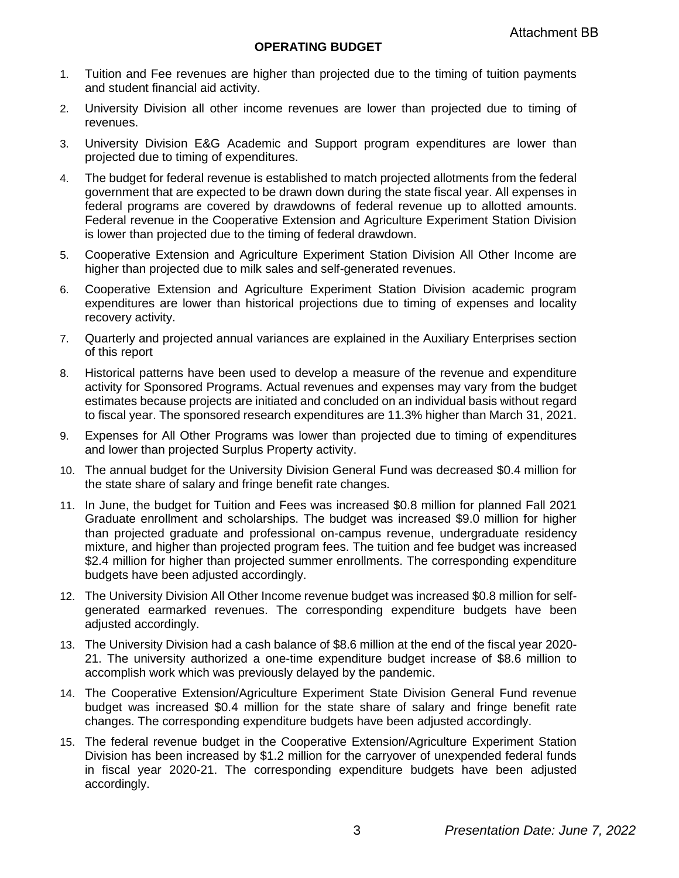- 1. Tuition and Fee revenues are higher than projected due to the timing of tuition payments and student financial aid activity.
- 2. University Division all other income revenues are lower than projected due to timing of revenues.
- 3. University Division E&G Academic and Support program expenditures are lower than projected due to timing of expenditures.
- 4. The budget for federal revenue is established to match projected allotments from the federal government that are expected to be drawn down during the state fiscal year. All expenses in federal programs are covered by drawdowns of federal revenue up to allotted amounts. Federal revenue in the Cooperative Extension and Agriculture Experiment Station Division is lower than projected due to the timing of federal drawdown.
- 5. Cooperative Extension and Agriculture Experiment Station Division All Other Income are higher than projected due to milk sales and self-generated revenues.
- 6. Cooperative Extension and Agriculture Experiment Station Division academic program expenditures are lower than historical projections due to timing of expenses and locality recovery activity.
- 7. Quarterly and projected annual variances are explained in the Auxiliary Enterprises section of this report
- 8. Historical patterns have been used to develop a measure of the revenue and expenditure activity for Sponsored Programs. Actual revenues and expenses may vary from the budget estimates because projects are initiated and concluded on an individual basis without regard to fiscal year. The sponsored research expenditures are 11.3% higher than March 31, 2021.
- 9. Expenses for All Other Programs was lower than projected due to timing of expenditures and lower than projected Surplus Property activity.
- 10. The annual budget for the University Division General Fund was decreased \$0.4 million for the state share of salary and fringe benefit rate changes.
- 11. In June, the budget for Tuition and Fees was increased \$0.8 million for planned Fall 2021 Graduate enrollment and scholarships. The budget was increased \$9.0 million for higher than projected graduate and professional on-campus revenue, undergraduate residency mixture, and higher than projected program fees. The tuition and fee budget was increased \$2.4 million for higher than projected summer enrollments. The corresponding expenditure budgets have been adjusted accordingly.
- 12. The University Division All Other Income revenue budget was increased \$0.8 million for selfgenerated earmarked revenues. The corresponding expenditure budgets have been adjusted accordingly.
- 13. The University Division had a cash balance of \$8.6 million at the end of the fiscal year 2020- 21. The university authorized a one-time expenditure budget increase of \$8.6 million to accomplish work which was previously delayed by the pandemic.
- 14. The Cooperative Extension/Agriculture Experiment State Division General Fund revenue budget was increased \$0.4 million for the state share of salary and fringe benefit rate changes. The corresponding expenditure budgets have been adjusted accordingly.
- 15. The federal revenue budget in the Cooperative Extension/Agriculture Experiment Station Division has been increased by \$1.2 million for the carryover of unexpended federal funds in fiscal year 2020-21. The corresponding expenditure budgets have been adjusted accordingly.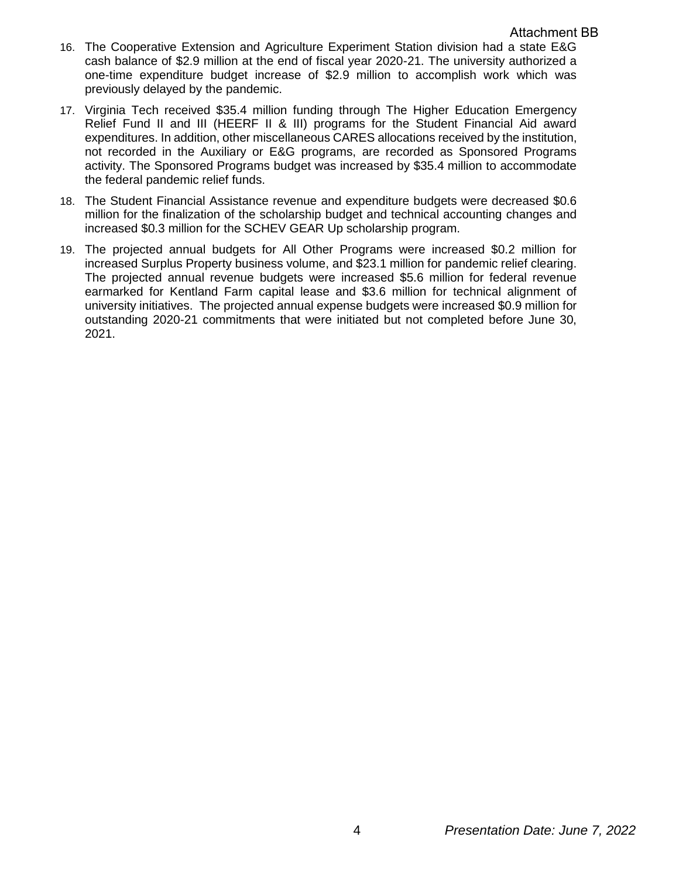- 16. The Cooperative Extension and Agriculture Experiment Station division had a state E&G cash balance of \$2.9 million at the end of fiscal year 2020-21. The university authorized a one-time expenditure budget increase of \$2.9 million to accomplish work which was previously delayed by the pandemic.
- 17. Virginia Tech received \$35.4 million funding through The Higher Education Emergency Relief Fund II and III (HEERF II & III) programs for the Student Financial Aid award expenditures. In addition, other miscellaneous CARES allocations received by the institution, not recorded in the Auxiliary or E&G programs, are recorded as Sponsored Programs activity. The Sponsored Programs budget was increased by \$35.4 million to accommodate the federal pandemic relief funds.
- 18. The Student Financial Assistance revenue and expenditure budgets were decreased \$0.6 million for the finalization of the scholarship budget and technical accounting changes and increased \$0.3 million for the SCHEV GEAR Up scholarship program.
- 19. The projected annual budgets for All Other Programs were increased \$0.2 million for increased Surplus Property business volume, and \$23.1 million for pandemic relief clearing. The projected annual revenue budgets were increased \$5.6 million for federal revenue earmarked for Kentland Farm capital lease and \$3.6 million for technical alignment of university initiatives. The projected annual expense budgets were increased \$0.9 million for outstanding 2020-21 commitments that were initiated but not completed before June 30, 2021.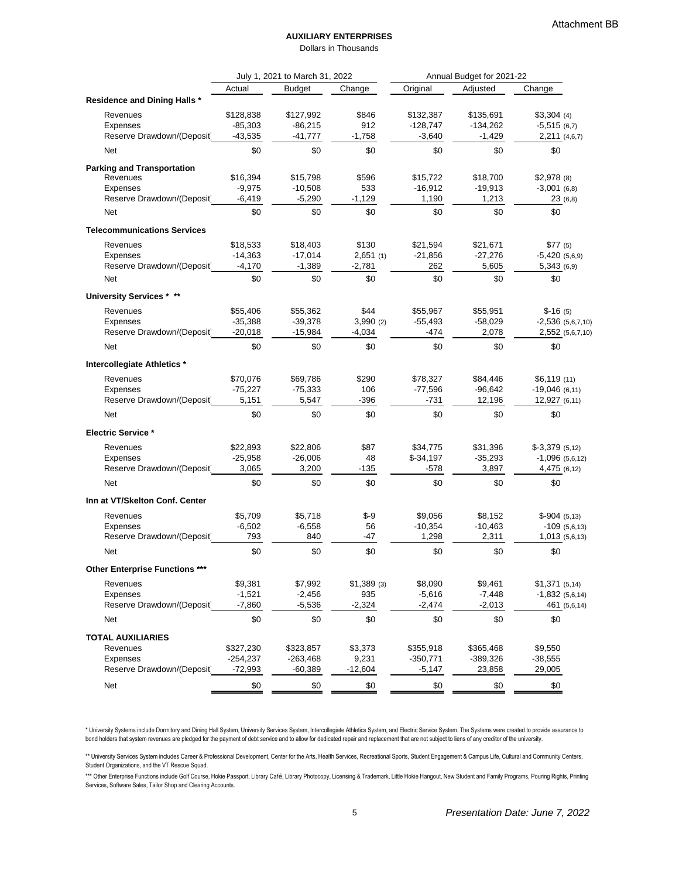#### **AUXILIARY ENTERPRISES**

Dollars in Thousands

|                                       | July 1, 2021 to March 31, 2022<br>Annual Budget for 2021-22 |               |              |            |            |                       |  |
|---------------------------------------|-------------------------------------------------------------|---------------|--------------|------------|------------|-----------------------|--|
|                                       | Actual                                                      | <b>Budget</b> | Change       | Original   | Adjusted   | Change                |  |
| <b>Residence and Dining Halls *</b>   |                                                             |               |              |            |            |                       |  |
| Revenues                              | \$128,838                                                   | \$127,992     | \$846        | \$132,387  | \$135,691  | $$3,304$ (4)          |  |
| Expenses                              | $-85,303$                                                   | $-86,215$     | 912          | $-128,747$ | $-134,262$ | $-5,515(6,7)$         |  |
| Reserve Drawdown/(Deposit             | $-43,535$                                                   | $-41,777$     | $-1,758$     | $-3,640$   | $-1,429$   | 2,211 (4,6,7)         |  |
| <b>Net</b>                            | \$0                                                         | \$0           | \$0          | \$0        | \$0        | \$0                   |  |
| <b>Parking and Transportation</b>     |                                                             |               |              |            |            |                       |  |
| Revenues                              | \$16,394                                                    | \$15,798      | \$596        | \$15,722   | \$18,700   | $$2,978$ (8)          |  |
| <b>Expenses</b>                       | $-9,975$                                                    | $-10,508$     | 533          | $-16,912$  | $-19,913$  | $-3,001(6,8)$         |  |
| Reserve Drawdown/(Deposit             | $-6,419$                                                    | $-5,290$      | $-1,129$     | 1,190      | 1,213      | 23(6,8)               |  |
| Net                                   | \$0                                                         | \$0           | \$0          | \$0        | \$0        | \$0                   |  |
| <b>Telecommunications Services</b>    |                                                             |               |              |            |            |                       |  |
| Revenues                              | \$18,533                                                    | \$18,403      | \$130        | \$21,594   | \$21,671   | \$77(5)               |  |
| Expenses                              | $-14,363$                                                   | $-17,014$     | 2,651(1)     | $-21,856$  | $-27,276$  | $-5,420(5,6,9)$       |  |
| Reserve Drawdown/(Deposit             | $-4,170$                                                    | $-1,389$      | $-2,781$     | 262        | 5,605      | 5,343(6,9)            |  |
| <b>Net</b>                            | \$0                                                         | \$0           | \$0          | \$0        | \$0        | \$0                   |  |
| <b>University Services * **</b>       |                                                             |               |              |            |            |                       |  |
| Revenues                              | \$55,406                                                    | \$55,362      | \$44         | \$55,967   | \$55,951   | $$-16(5)$             |  |
| <b>Expenses</b>                       | $-35,388$                                                   | $-39,378$     | 3,990(2)     | $-55,493$  | $-58,029$  | $-2,536$ $(5,6,7,10)$ |  |
| Reserve Drawdown/(Deposit             | $-20,018$                                                   | $-15,984$     | $-4,034$     | $-474$     | 2,078      | 2,552 (5,6,7,10)      |  |
| <b>Net</b>                            | \$0                                                         | \$0           | \$0          | \$0        | \$0        | \$0                   |  |
| Intercollegiate Athletics *           |                                                             |               |              |            |            |                       |  |
| Revenues                              | \$70,076                                                    | \$69,786      | \$290        | \$78,327   | \$84,446   | \$6,119(11)           |  |
| Expenses                              | $-75,227$                                                   | $-75,333$     | 106          | $-77,596$  | $-96,642$  | $-19,046(6,11)$       |  |
| Reserve Drawdown/(Deposit             | 5,151                                                       | 5,547         | $-396$       | $-731$     | 12,196     | 12,927 (6,11)         |  |
| <b>Net</b>                            | \$0                                                         | \$0           | \$0          | \$0        | \$0        | \$0                   |  |
| <b>Electric Service *</b>             |                                                             |               |              |            |            |                       |  |
| Revenues                              | \$22,893                                                    | \$22,806      | \$87         | \$34,775   | \$31,396   | $$-3,379$ (5,12)      |  |
| Expenses                              | $-25,958$                                                   | $-26,006$     | 48           | $$-34,197$ | $-35,293$  | $-1,096$ (5,6,12)     |  |
| Reserve Drawdown/(Deposit             | 3,065                                                       | 3,200         | $-135$       | $-578$     | 3,897      | 4,475 (6,12)          |  |
| Net                                   | \$0                                                         | \$0           | \$0          | \$0        | \$0        | \$0                   |  |
| Inn at VT/Skelton Conf. Center        |                                                             |               |              |            |            |                       |  |
| Revenues                              | \$5,709                                                     | \$5,718       | $$ -9$       | \$9,056    | \$8,152    | $$-904(5,13)$         |  |
| Expenses                              | $-6,502$                                                    | $-6,558$      | 56           | $-10,354$  | $-10,463$  | $-109(5,6,13)$        |  |
| Reserve Drawdown/(Deposit             | 793                                                         | 840           | -47          | 1,298      | 2,311      | 1,013(5,6,13)         |  |
| Net                                   | \$0                                                         | \$0           | \$0          | \$0        | \$0        | \$0                   |  |
| <b>Other Enterprise Functions ***</b> |                                                             |               |              |            |            |                       |  |
| Revenues                              | \$9,381                                                     | \$7,992       | $$1,389$ (3) | \$8,090    | \$9,461    | \$1,371(5,14)         |  |
| Expenses                              | $-1,521$                                                    | $-2,456$      | 935          | $-5,616$   | $-7,448$   | $-1,832(5,6,14)$      |  |
| Reserve Drawdown/(Deposit             | $-7,860$                                                    | $-5,536$      | $-2,324$     | $-2,474$   | $-2,013$   | 461 (5,6,14)          |  |
| <b>Net</b>                            | \$0                                                         | \$0           | \$0          | \$0        | \$0        | \$0                   |  |
| <b>TOTAL AUXILIARIES</b>              |                                                             |               |              |            |            |                       |  |
| Revenues                              | \$327,230                                                   | \$323,857     | \$3,373      | \$355,918  | \$365,468  | \$9,550               |  |
| <b>Expenses</b>                       | $-254,237$                                                  | $-263,468$    | 9,231        | $-350,771$ | $-389,326$ | $-38,555$             |  |
| Reserve Drawdown/(Deposit             | $-72,993$                                                   | $-60,389$     | $-12,604$    | $-5,147$   | 23,858     | 29,005                |  |
| <b>Net</b>                            | \$0                                                         | \$0           | \$0          | \$0        | \$0        | \$0                   |  |

\* University Systems include Dormitory and Dining Hall System, University Services System, Intercollegiate Athletics System, and Electric Service System. The Systems were created to provide assurance to bond holders that system revenues are pledged for the payment of debt service and to allow for dedicated repair and replacement that are not subject to liens of any creditor of the university.

\*\* University Services System includes Career & Professional Development, Center for the Arts, Health Services, Recreational Sports, Student Engagement & Campus Life, Cultural and Community Centers, Student Organizations, and the VT Rescue Squad.

\*\*\* Other Enterprise Functions include Golf Course, Hokie Passport, Library Café, Library Photocopy, Licensing & Trademark, Little Hokie Hangout, New Student and Family Programs, Pouring Rights, Printing Services, Software Sales, Tailor Shop and Clearing Accounts.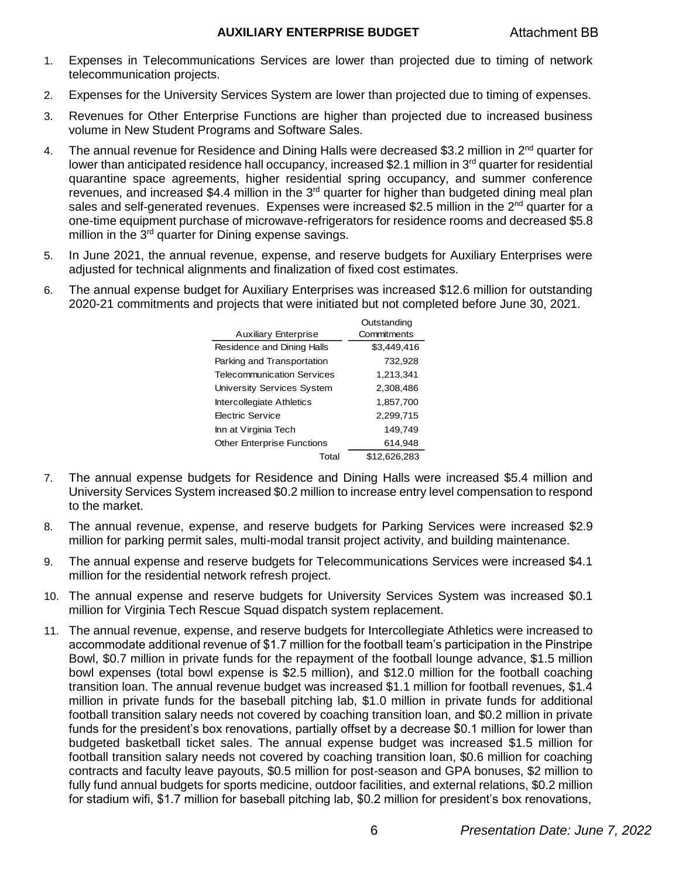- 1. Expenses in Telecommunications Services are lower than projected due to timing of network telecommunication projects.
- 2. Expenses for the University Services System are lower than projected due to timing of expenses.
- 3. Revenues for Other Enterprise Functions are higher than projected due to increased business volume in New Student Programs and Software Sales.
- 4. The annual revenue for Residence and Dining Halls were decreased \$3.2 million in 2<sup>nd</sup> quarter for lower than anticipated residence hall occupancy, increased \$2.1 million in 3<sup>rd</sup> quarter for residential quarantine space agreements, higher residential spring occupancy, and summer conference revenues, and increased \$4.4 million in the 3<sup>rd</sup> quarter for higher than budgeted dining meal plan sales and self-generated revenues. Expenses were increased \$2.5 million in the 2<sup>nd</sup> quarter for a one-time equipment purchase of microwave-refrigerators for residence rooms and decreased \$5.8 million in the 3<sup>rd</sup> quarter for Dining expense savings.
- 5. In June 2021, the annual revenue, expense, and reserve budgets for Auxiliary Enterprises were adjusted for technical alignments and finalization of fixed cost estimates.
- 6. The annual expense budget for Auxiliary Enterprises was increased \$12.6 million for outstanding 2020-21 commitments and projects that were initiated but not completed before June 30, 2021.

|                                   | Outstanding  |
|-----------------------------------|--------------|
| <b>Auxiliary Enterprise</b>       | Commitments  |
| Residence and Dining Halls        | \$3,449,416  |
| Parking and Transportation        | 732,928      |
| Telecommunication Services        | 1,213,341    |
| University Services System        | 2,308,486    |
| <b>Intercollegiate Athletics</b>  | 1,857,700    |
| Electric Service                  | 2,299,715    |
| Inn at Virginia Tech              | 149,749      |
| <b>Other Enterprise Functions</b> | 614.948      |
| Total                             | \$12.626.283 |

- 7. The annual expense budgets for Residence and Dining Halls were increased \$5.4 million and University Services System increased \$0.2 million to increase entry level compensation to respond to the market.
- 8. The annual revenue, expense, and reserve budgets for Parking Services were increased \$2.9 million for parking permit sales, multi-modal transit project activity, and building maintenance.
- 9. The annual expense and reserve budgets for Telecommunications Services were increased \$4.1 million for the residential network refresh project.
- 10. The annual expense and reserve budgets for University Services System was increased \$0.1 million for Virginia Tech Rescue Squad dispatch system replacement.
- 11. The annual revenue, expense, and reserve budgets for Intercollegiate Athletics were increased to accommodate additional revenue of \$1.7 million for the football team's participation in the Pinstripe Bowl, \$0.7 million in private funds for the repayment of the football lounge advance, \$1.5 million bowl expenses (total bowl expense is \$2.5 million), and \$12.0 million for the football coaching transition loan. The annual revenue budget was increased \$1.1 million for football revenues, \$1.4 million in private funds for the baseball pitching lab, \$1.0 million in private funds for additional football transition salary needs not covered by coaching transition loan, and \$0.2 million in private funds for the president's box renovations, partially offset by a decrease \$0.1 million for lower than budgeted basketball ticket sales. The annual expense budget was increased \$1.5 million for football transition salary needs not covered by coaching transition loan, \$0.6 million for coaching contracts and faculty leave payouts, \$0.5 million for post-season and GPA bonuses, \$2 million to fully fund annual budgets for sports medicine, outdoor facilities, and external relations, \$0.2 million for stadium wifi, \$1.7 million for baseball pitching lab, \$0.2 million for president's box renovations,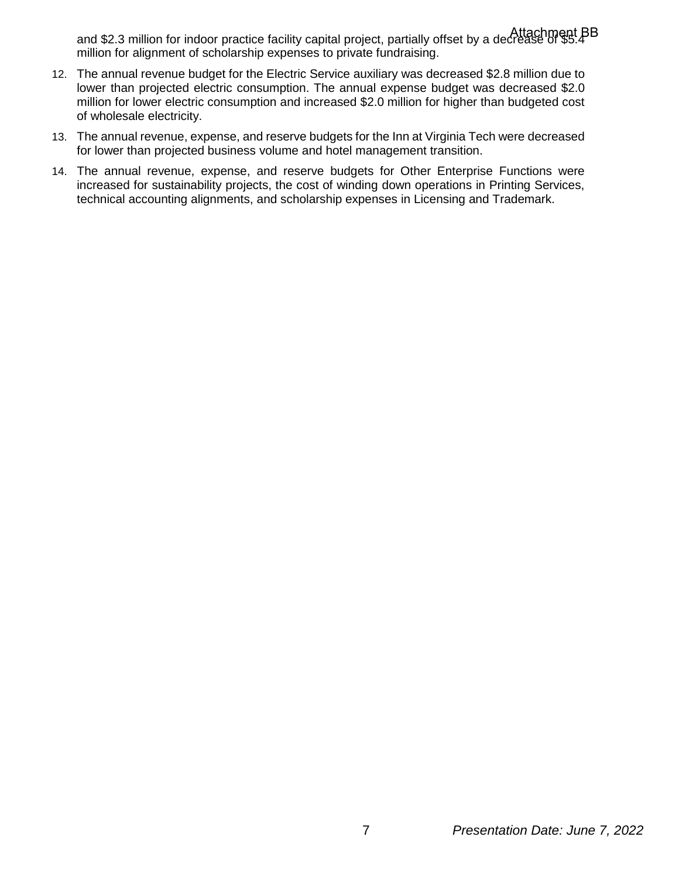and \$2.3 million for indoor practice facility capital project, partially offset by a decrease of \$5.4 Attachment BBmillion for alignment of scholarship expenses to private fundraising.

- 12. The annual revenue budget for the Electric Service auxiliary was decreased \$2.8 million due to lower than projected electric consumption. The annual expense budget was decreased \$2.0 million for lower electric consumption and increased \$2.0 million for higher than budgeted cost of wholesale electricity.
- 13. The annual revenue, expense, and reserve budgets for the Inn at Virginia Tech were decreased for lower than projected business volume and hotel management transition.
- 14. The annual revenue, expense, and reserve budgets for Other Enterprise Functions were increased for sustainability projects, the cost of winding down operations in Printing Services, technical accounting alignments, and scholarship expenses in Licensing and Trademark.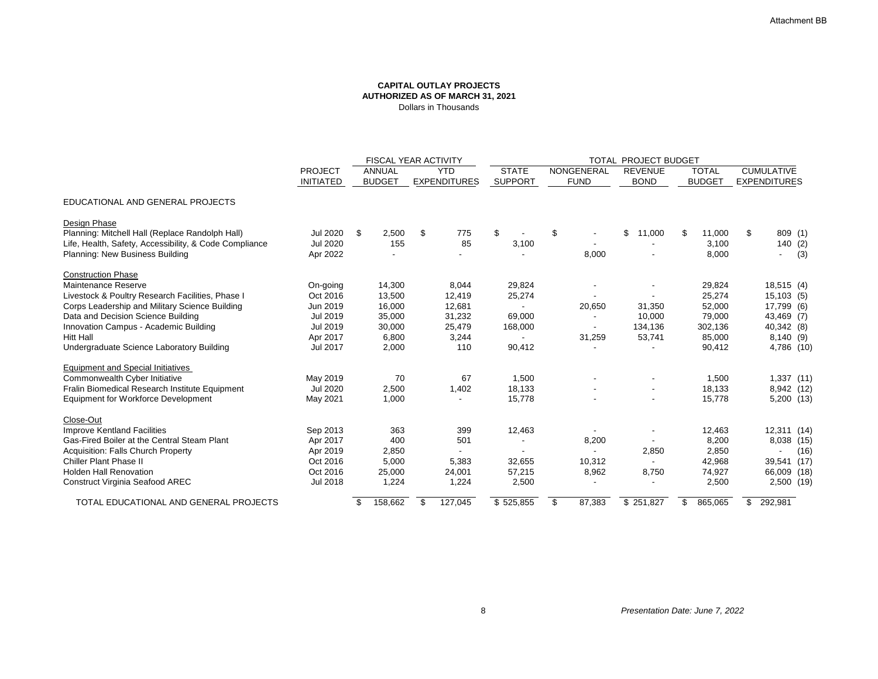|                                                        |                                    | FISCAL YEAR ACTIVITY           |                                   |                                | <b>TOTAL PROJECT BUDGET</b>      |                               |                               |                                          |  |
|--------------------------------------------------------|------------------------------------|--------------------------------|-----------------------------------|--------------------------------|----------------------------------|-------------------------------|-------------------------------|------------------------------------------|--|
|                                                        | <b>PROJECT</b><br><b>INITIATED</b> | <b>ANNUAL</b><br><b>BUDGET</b> | <b>YTD</b><br><b>EXPENDITURES</b> | <b>STATE</b><br><b>SUPPORT</b> | <b>NONGENERAL</b><br><b>FUND</b> | <b>REVENUE</b><br><b>BOND</b> | <b>TOTAL</b><br><b>BUDGET</b> | <b>CUMULATIVE</b><br><b>EXPENDITURES</b> |  |
| EDUCATIONAL AND GENERAL PROJECTS                       |                                    |                                |                                   |                                |                                  |                               |                               |                                          |  |
| <b>Design Phase</b>                                    |                                    |                                |                                   |                                |                                  |                               |                               |                                          |  |
| Planning: Mitchell Hall (Replace Randolph Hall)        | <b>Jul 2020</b>                    | -\$<br>2,500                   | \$<br>775                         | \$                             | \$                               | \$<br>11,000                  | 11,000<br>\$                  | $\boldsymbol{\mathcal{S}}$<br>809(1)     |  |
| Life, Health, Safety, Accessibility, & Code Compliance | <b>Jul 2020</b>                    | 155                            | 85                                | 3,100                          |                                  |                               | 3,100                         | 140(2)                                   |  |
| <b>Planning: New Business Building</b>                 | Apr 2022                           |                                |                                   |                                | 8,000                            |                               | 8,000                         | (3)<br>$\overline{\phantom{a}}$          |  |
| <b>Construction Phase</b>                              |                                    |                                |                                   |                                |                                  |                               |                               |                                          |  |
| <b>Maintenance Reserve</b>                             | On-going                           | 14,300                         | 8,044                             | 29,824                         |                                  |                               | 29,824                        | 18,515(4)                                |  |
| Livestock & Poultry Research Facilities, Phase I       | Oct 2016                           | 13,500                         | 12,419                            | 25,274                         |                                  |                               | 25,274                        | 15,103(5)                                |  |
| Corps Leadership and Military Science Building         | Jun 2019                           | 16,000                         | 12,681                            |                                | 20,650                           | 31,350                        | 52,000                        | 17,799 (6)                               |  |
| Data and Decision Science Building                     | <b>Jul 2019</b>                    | 35,000                         | 31,232                            | 69,000                         | $\overline{\phantom{a}}$         | 10,000                        | 79,000                        | 43,469 (7)                               |  |
| Innovation Campus - Academic Building                  | <b>Jul 2019</b>                    | 30,000                         | 25,479                            | 168,000                        | $\sim$                           | 134,136                       | 302,136                       | 40,342 (8)                               |  |
| <b>Hitt Hall</b>                                       | Apr 2017                           | 6,800                          | 3,244                             |                                | 31,259                           | 53,741                        | 85,000                        | 8,140(9)                                 |  |
| <b>Undergraduate Science Laboratory Building</b>       | <b>Jul 2017</b>                    | 2,000                          | 110                               | 90,412                         |                                  |                               | 90,412                        | 4,786 (10)                               |  |
| <b>Equipment and Special Initiatives</b>               |                                    |                                |                                   |                                |                                  |                               |                               |                                          |  |
| <b>Commonwealth Cyber Initiative</b>                   | May 2019                           | 70                             | 67                                | 1,500                          |                                  |                               | 1,500                         | 1,337 (11)                               |  |
| Fralin Biomedical Research Institute Equipment         | <b>Jul 2020</b>                    | 2,500                          | 1,402                             | 18,133                         |                                  |                               | 18,133                        | 8,942 (12)                               |  |
| <b>Equipment for Workforce Development</b>             | May 2021                           | 1,000                          |                                   | 15,778                         |                                  |                               | 15,778                        | 5,200 (13)                               |  |
| Close-Out                                              |                                    |                                |                                   |                                |                                  |                               |                               |                                          |  |
| <b>Improve Kentland Facilities</b>                     | Sep 2013                           | 363                            | 399                               | 12,463                         | $\blacksquare$                   |                               | 12,463                        | 12,311 (14)                              |  |
| Gas-Fired Boiler at the Central Steam Plant            | Apr 2017                           | 400                            | 501                               |                                | 8,200                            |                               | 8,200                         | 8,038 (15)                               |  |
| <b>Acquisition: Falls Church Property</b>              | Apr 2019                           | 2,850                          |                                   |                                | $\sim$                           | 2,850                         | 2,850                         | (16)                                     |  |
| <b>Chiller Plant Phase II</b>                          | Oct 2016                           | 5,000                          | 5,383                             | 32,655                         | 10,312                           |                               | 42,968                        | 39,541<br>(17)                           |  |
| <b>Holden Hall Renovation</b>                          | Oct 2016                           | 25,000                         | 24,001                            | 57,215                         | 8,962                            | 8,750                         | 74,927                        | 66,009 (18)                              |  |
| <b>Construct Virginia Seafood AREC</b>                 | <b>Jul 2018</b>                    | 1,224                          | 1,224                             | 2,500                          |                                  |                               | 2,500                         | 2,500 (19)                               |  |
| TOTAL EDUCATIONAL AND GENERAL PROJECTS                 |                                    | 158,662<br>\$                  | 127,045<br>\$                     | \$525,855                      | $\mathfrak{S}$<br>87,383         | \$251,827                     | 865,065<br>\$                 | $\mathbb{S}^-$<br>292,981                |  |

## **CAPITAL OUTLAY PROJECTS AUTHORIZED AS OF MARCH 31, 2021** Dollars in Thousands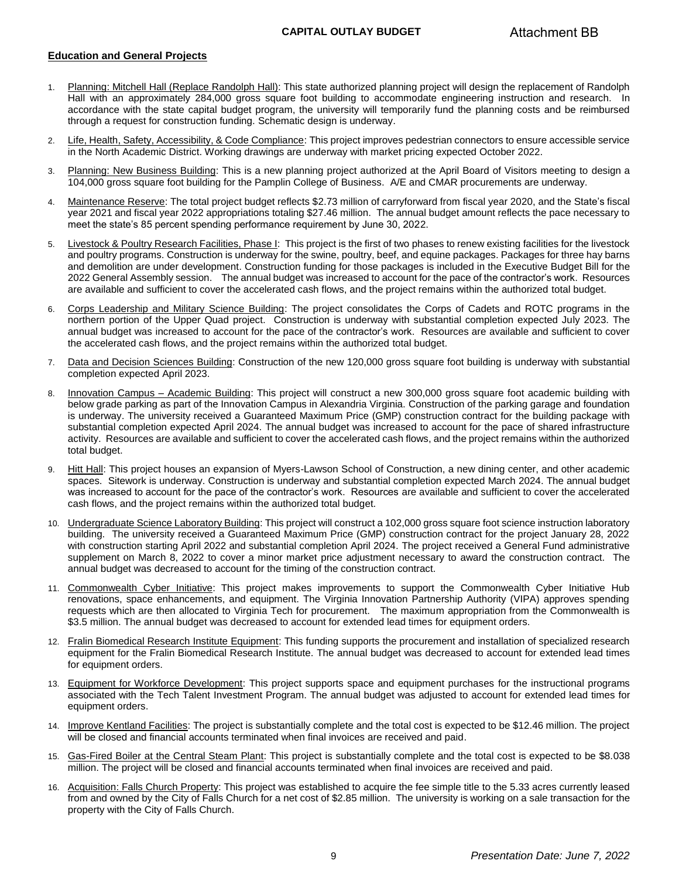#### **CAPITAL OUTLAY BUDGET**

#### **Education and General Projects**

- 1. Planning: Mitchell Hall (Replace Randolph Hall): This state authorized planning project will design the replacement of Randolph Hall with an approximately 284,000 gross square foot building to accommodate engineering instruction and research. In accordance with the state capital budget program, the university will temporarily fund the planning costs and be reimbursed through a request for construction funding. Schematic design is underway.
- 2. Life, Health, Safety, Accessibility, & Code Compliance: This project improves pedestrian connectors to ensure accessible service in the North Academic District. Working drawings are underway with market pricing expected October 2022.
- 3. Planning: New Business Building: This is a new planning project authorized at the April Board of Visitors meeting to design a 104,000 gross square foot building for the Pamplin College of Business. A/E and CMAR procurements are underway.
- 4. Maintenance Reserve: The total project budget reflects \$2.73 million of carryforward from fiscal year 2020, and the State's fiscal year 2021 and fiscal year 2022 appropriations totaling \$27.46 million. The annual budget amount reflects the pace necessary to meet the state's 85 percent spending performance requirement by June 30, 2022.
- 5. Livestock & Poultry Research Facilities, Phase I: This project is the first of two phases to renew existing facilities for the livestock and poultry programs. Construction is underway for the swine, poultry, beef, and equine packages. Packages for three hay barns and demolition are under development. Construction funding for those packages is included in the Executive Budget Bill for the 2022 General Assembly session. The annual budget was increased to account for the pace of the contractor's work. Resources are available and sufficient to cover the accelerated cash flows, and the project remains within the authorized total budget.
- 6. Corps Leadership and Military Science Building: The project consolidates the Corps of Cadets and ROTC programs in the northern portion of the Upper Quad project. Construction is underway with substantial completion expected July 2023. The annual budget was increased to account for the pace of the contractor's work. Resources are available and sufficient to cover the accelerated cash flows, and the project remains within the authorized total budget.
- 7. Data and Decision Sciences Building: Construction of the new 120,000 gross square foot building is underway with substantial completion expected April 2023.
- 8. Innovation Campus Academic Building: This project will construct a new 300,000 gross square foot academic building with below grade parking as part of the Innovation Campus in Alexandria Virginia. Construction of the parking garage and foundation is underway. The university received a Guaranteed Maximum Price (GMP) construction contract for the building package with substantial completion expected April 2024. The annual budget was increased to account for the pace of shared infrastructure activity. Resources are available and sufficient to cover the accelerated cash flows, and the project remains within the authorized total budget.
- 9. Hitt Hall: This project houses an expansion of Myers-Lawson School of Construction, a new dining center, and other academic spaces. Sitework is underway. Construction is underway and substantial completion expected March 2024. The annual budget was increased to account for the pace of the contractor's work. Resources are available and sufficient to cover the accelerated cash flows, and the project remains within the authorized total budget.
- 10. Undergraduate Science Laboratory Building: This project will construct a 102,000 gross square foot science instruction laboratory building. The university received a Guaranteed Maximum Price (GMP) construction contract for the project January 28, 2022 with construction starting April 2022 and substantial completion April 2024. The project received a General Fund administrative supplement on March 8, 2022 to cover a minor market price adjustment necessary to award the construction contract. The annual budget was decreased to account for the timing of the construction contract.
- 11. Commonwealth Cyber Initiative: This project makes improvements to support the Commonwealth Cyber Initiative Hub renovations, space enhancements, and equipment. The Virginia Innovation Partnership Authority (VIPA) approves spending requests which are then allocated to Virginia Tech for procurement. The maximum appropriation from the Commonwealth is \$3.5 million. The annual budget was decreased to account for extended lead times for equipment orders.
- 12. Fralin Biomedical Research Institute Equipment: This funding supports the procurement and installation of specialized research equipment for the Fralin Biomedical Research Institute. The annual budget was decreased to account for extended lead times for equipment orders.
- 13. Equipment for Workforce Development: This project supports space and equipment purchases for the instructional programs associated with the Tech Talent Investment Program. The annual budget was adjusted to account for extended lead times for equipment orders.
- 14. Improve Kentland Facilities: The project is substantially complete and the total cost is expected to be \$12.46 million. The project will be closed and financial accounts terminated when final invoices are received and paid.
- 15. Gas-Fired Boiler at the Central Steam Plant: This project is substantially complete and the total cost is expected to be \$8.038 million. The project will be closed and financial accounts terminated when final invoices are received and paid.
- 16. Acquisition: Falls Church Property: This project was established to acquire the fee simple title to the 5.33 acres currently leased from and owned by the City of Falls Church for a net cost of \$2.85 million. The university is working on a sale transaction for the property with the City of Falls Church.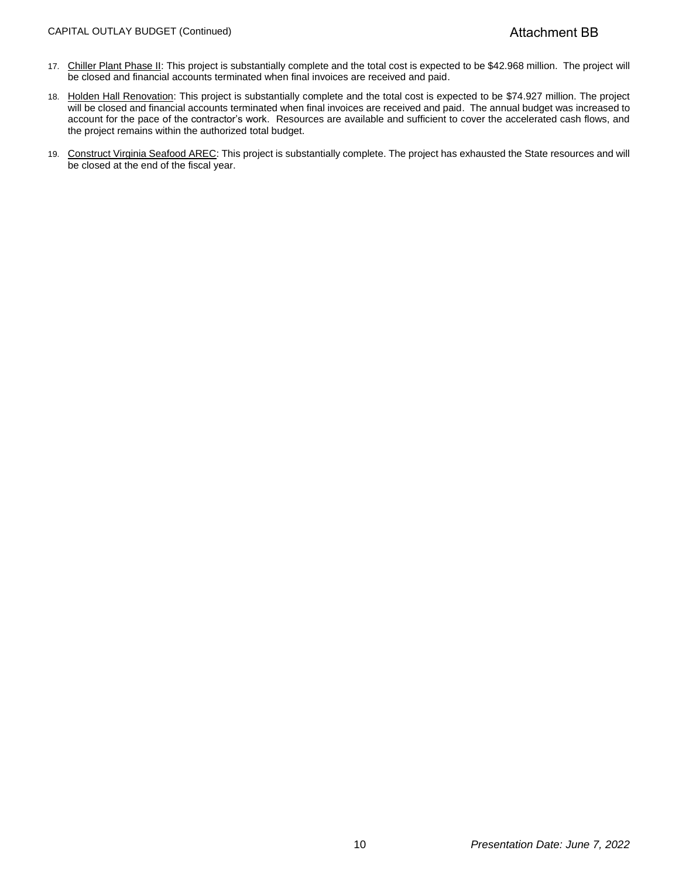#### CAPITAL OUTLAY BUDGET (Continued)

- 17. Chiller Plant Phase II: This project is substantially complete and the total cost is expected to be \$42.968 million. The project will be closed and financial accounts terminated when final invoices are received and paid.
- 18. Holden Hall Renovation: This project is substantially complete and the total cost is expected to be \$74.927 million. The project will be closed and financial accounts terminated when final invoices are received and paid. The annual budget was increased to account for the pace of the contractor's work. Resources are available and sufficient to cover the accelerated cash flows, and the project remains within the authorized total budget.
- 19. Construct Virginia Seafood AREC: This project is substantially complete. The project has exhausted the State resources and will be closed at the end of the fiscal year.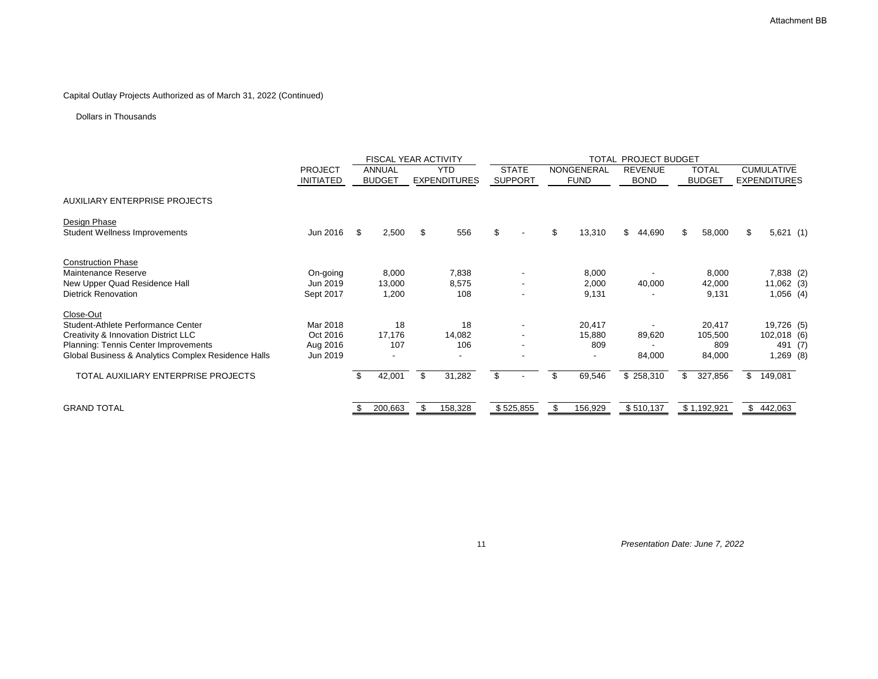# Capital Outlay Projects Authorized as of March 31, 2022 (Continued)

## Dollars in Thousands

|                                                      |                                    |                                | <b>FISCAL YEAR ACTIVITY</b>       | <b>TOTAL PROJECT BUDGET</b>    |                                      |                               |                               |                                          |
|------------------------------------------------------|------------------------------------|--------------------------------|-----------------------------------|--------------------------------|--------------------------------------|-------------------------------|-------------------------------|------------------------------------------|
|                                                      | <b>PROJECT</b><br><b>INITIATED</b> | <b>ANNUAL</b><br><b>BUDGET</b> | <b>YTD</b><br><b>EXPENDITURES</b> | <b>STATE</b><br><b>SUPPORT</b> | NONGENERAL<br><b>FUND</b>            | <b>REVENUE</b><br><b>BOND</b> | <b>TOTAL</b><br><b>BUDGET</b> | <b>CUMULATIVE</b><br><b>EXPENDITURES</b> |
| <b>AUXILIARY ENTERPRISE PROJECTS</b>                 |                                    |                                |                                   |                                |                                      |                               |                               |                                          |
| Design Phase<br><b>Student Wellness Improvements</b> | Jun 2016                           | $\mathfrak{F}$<br>2,500        | \$<br>556                         | $\mathfrak{L}$                 | $\mathfrak{S}$<br>13,310             | $\mathfrak{L}$<br>44,690      | $\mathfrak{S}$<br>58,000      | 5,621(1)<br>\$                           |
| <b>Construction Phase</b>                            |                                    |                                |                                   |                                |                                      |                               |                               |                                          |
| <b>Maintenance Reserve</b>                           | On-going                           | 8,000                          | 7,838                             |                                | 8,000                                |                               | 8,000                         | 7,838 (2)                                |
| New Upper Quad Residence Hall                        | Jun 2019                           | 13,000                         | 8,575                             | $\overline{\phantom{a}}$       | 2,000                                | 40,000                        | 42,000                        | $11,062$ (3)                             |
| <b>Dietrick Renovation</b>                           | Sept 2017                          | 1,200                          | 108                               | $\blacksquare$                 | 9,131                                |                               | 9,131                         | $1,056$ (4)                              |
| Close-Out                                            |                                    |                                |                                   |                                |                                      |                               |                               |                                          |
| Student-Athlete Performance Center                   | Mar 2018                           | 18                             | 18                                |                                | 20,417                               |                               | 20,417                        | 19,726 (5)                               |
| <b>Creativity &amp; Innovation District LLC</b>      | Oct 2016                           | 17,176                         | 14,082                            |                                | 15,880                               | 89,620                        | 105,500                       | 102,018 (6)                              |
| <b>Planning: Tennis Center Improvements</b>          | Aug 2016                           | 107                            | 106                               |                                | 809                                  |                               | 809                           | 491 (7)                                  |
| Global Business & Analytics Complex Residence Halls  | Jun 2019                           |                                |                                   |                                |                                      | 84,000                        | 84,000                        | $1,269$ (8)                              |
| TOTAL AUXILIARY ENTERPRISE PROJECTS                  |                                    | 42,001<br>\$                   | 31,282<br>$\mathfrak{L}$          | \$                             | $\boldsymbol{\mathcal{S}}$<br>69,546 | \$258,310                     | 327,856<br>$\mathfrak{L}$     | $\mathbb{S}$<br>149,081                  |
| <b>GRAND TOTAL</b>                                   |                                    | 200,663                        | \$<br>158,328                     | \$525,855                      | $\mathfrak{S}$<br>156,929            | \$510,137                     | \$1,192,921                   | \$442,063                                |

11 *Presentation Date: June 7, 2022*